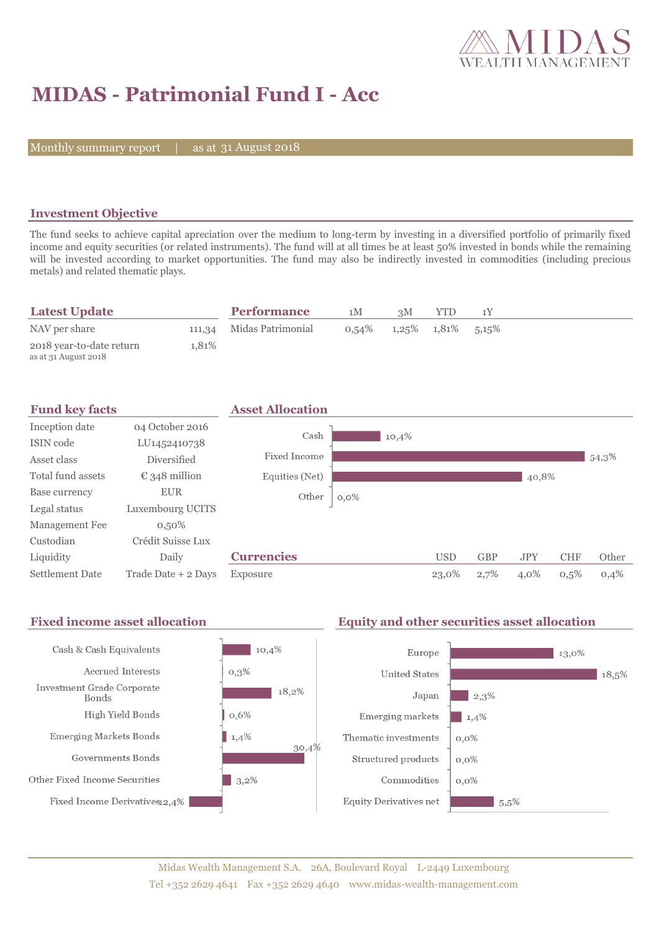

# **MIDAS - Patrimonial Fund I - Acc**

Monthly summary report | as at 31 August 2018

#### **Investment Objective**

The fund seeks to achieve capital apreciation over the medium to long-term by investing in a diversified portfolio of primarily fixed income and equity securities (or related instruments). The fund will at all times be at least 50% invested in bonds while the remaining will be invested according to market opportunities. The fund may also be indirectly invested in commodities (including precious metals) and related thematic plays.

| <b>Latest Update</b>     |       | <b>Performance</b>       | 1 M   | зM                         | <b>YTD</b> |  |
|--------------------------|-------|--------------------------|-------|----------------------------|------------|--|
| NAV per share            |       | 111,34 Midas Patrimonial | 0.54% | $1,25\%$ $1,81\%$ $5,15\%$ |            |  |
| 2018 year-to-date return | 1.81% |                          |       |                            |            |  |
| as at 31 August 2018     |       |                          |       |                            |            |  |

| <b>Fund key facts</b>  |                        | <b>Asset Allocation</b> |         |            |            |            |            |       |
|------------------------|------------------------|-------------------------|---------|------------|------------|------------|------------|-------|
| Inception date         | 04 October 2016        | Cash                    |         |            |            |            |            |       |
| ISIN code              | LU1452410738           |                         | 10,4%   |            |            |            |            |       |
| Asset class            | <b>Diversified</b>     | Fixed Income            |         |            |            |            |            | 54,3% |
| Total fund assets      | $\epsilon$ 348 million | Equities (Net)          |         |            |            | 40,8%      |            |       |
| Base currency          | <b>EUR</b>             | Other                   | $0,0\%$ |            |            |            |            |       |
| Legal status           | Luxembourg UCITS       |                         |         |            |            |            |            |       |
| Management Fee         | $0,50\%$               |                         |         |            |            |            |            |       |
| Custodian              | Crédit Suisse Lux      |                         |         |            |            |            |            |       |
| Liquidity              | Daily                  | <b>Currencies</b>       |         | <b>USD</b> | <b>GBP</b> | <b>JPY</b> | <b>CHF</b> | Other |
| <b>Settlement Date</b> | Trade Date + 2 Days    | Exposure                |         | 23,0%      | 2,7%       | 4,0%       | 0,5%       | 0,4%  |

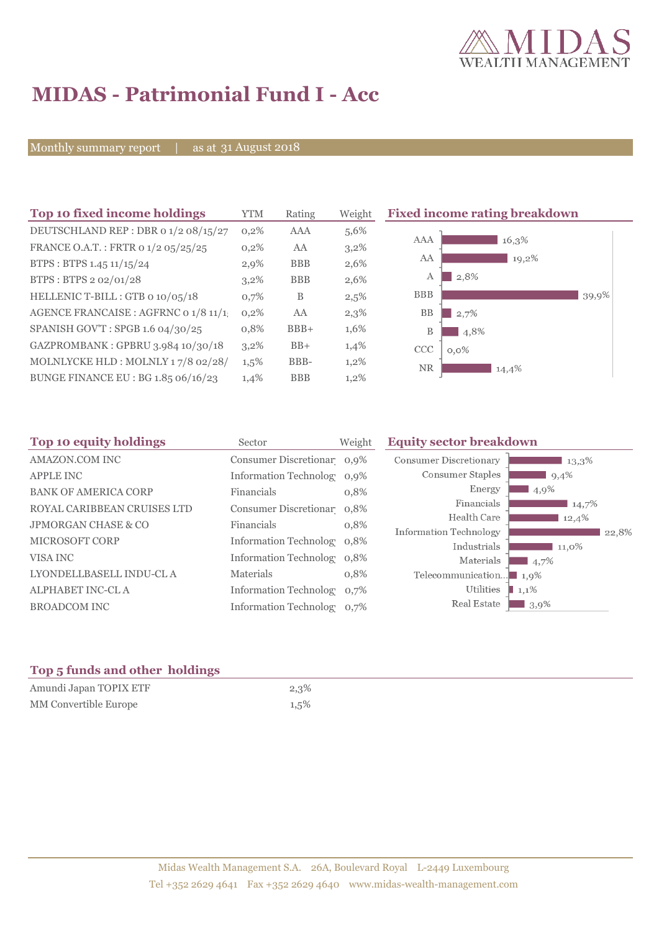

# **MIDAS - Patrimonial Fund I - Acc**

Monthly summary report | as at 31 August 2018

| <b>YTM</b> | Rating                                                                        | Weight  | <b>Fixed income rating breakdown</b> |                                                              |
|------------|-------------------------------------------------------------------------------|---------|--------------------------------------|--------------------------------------------------------------|
| $0,2\%$    | <b>AAA</b>                                                                    | 5,6%    |                                      |                                                              |
| $0,2\%$    | AA                                                                            | 3,2%    |                                      |                                                              |
| $2,9\%$    | <b>BBB</b>                                                                    | 2,6%    |                                      |                                                              |
| $3,2\%$    | <b>BBB</b>                                                                    | 2,6%    | 2,8%<br>А                            |                                                              |
| 0,7%       | B                                                                             | 2,5%    | <b>BBB</b>                           | 39,9%                                                        |
| 0,2%       | AA                                                                            | 2,3%    | <b>BB</b><br>2,7%                    |                                                              |
| 0,8%       | $BBB+$                                                                        | 1,6%    | 4,8%<br>B                            |                                                              |
| $3,2\%$    | $BB+$                                                                         | 1,4%    | <b>CCC</b>                           |                                                              |
| $1,5\%$    | BBB-                                                                          | $1,2\%$ |                                      |                                                              |
| 1,4%       | <b>BBB</b>                                                                    | $1,2\%$ |                                      |                                                              |
|            | DEUTSCHLAND REP : DBR 0 1/2 08/15/27<br>AGENCE FRANCAISE : AGFRNC 0 1/8 11/1. |         |                                      | AAA<br>16,3%<br>AA<br>19,2%<br>$0,0\%$<br><b>NR</b><br>14,4% |

| Top 10 equity holdings         | Sector                        | Weight  | <b>Equity sector breakdown</b>                             |
|--------------------------------|-------------------------------|---------|------------------------------------------------------------|
| <b>AMAZON.COM INC</b>          | Consumer Discretionar 0,9%    |         | <b>Consumer Discretionary</b><br>13,3%                     |
| <b>APPLE INC</b>               | <b>Information Technology</b> | $0.9\%$ | Consumer Staples<br>9,4%                                   |
| <b>BANK OF AMERICA CORP</b>    | Financials                    | 0,8%    | Energy<br>4,9%                                             |
| ROYAL CARIBBEAN CRUISES LTD    | Consumer Discretionar 0,8%    |         | Financials<br>14,7%                                        |
| <b>JPMORGAN CHASE &amp; CO</b> | Financials                    | 0,8%    | Health Care<br>12,4%                                       |
| <b>MICROSOFT CORP</b>          | Information Technolog 0.8%    |         | Information Technology<br>22.8%<br>Industrials<br>$11,0\%$ |
| VISA INC                       | <b>Information Technolog</b>  | 0,8%    | Materials<br>$\blacksquare$ 4,7%                           |
| LYONDELLBASELL INDU-CL A       | Materials                     | 0,8%    | Telecommunication<br>1,9%                                  |
| <b>ALPHABET INC-CL A</b>       | <b>Information Technolog</b>  | 0,7%    | Utilities<br>1,1%                                          |
| <b>BROADCOM INC</b>            | <b>Information Technolog</b>  | $0.7\%$ | Real Estate<br>$13,9\%$                                    |

### **Top 5 funds and other holdings**

| Amundi Japan TOPIX ETF | 2,3%    |
|------------------------|---------|
| MM Convertible Europe  | $1,5\%$ |